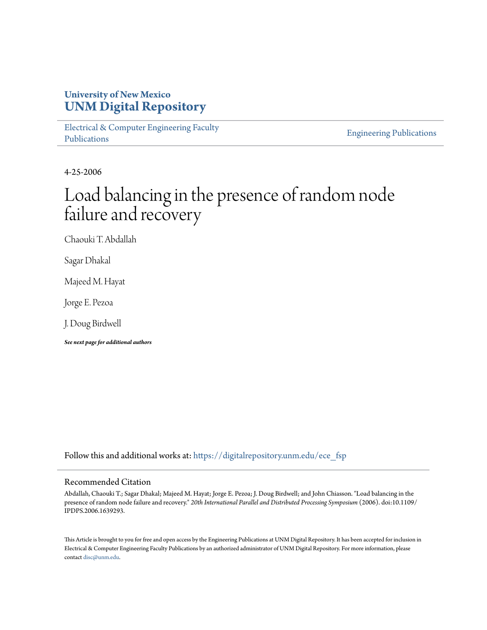# **University of New Mexico [UNM Digital Repository](https://digitalrepository.unm.edu?utm_source=digitalrepository.unm.edu%2Fece_fsp%2F184&utm_medium=PDF&utm_campaign=PDFCoverPages)**

[Electrical & Computer Engineering Faculty](https://digitalrepository.unm.edu/ece_fsp?utm_source=digitalrepository.unm.edu%2Fece_fsp%2F184&utm_medium=PDF&utm_campaign=PDFCoverPages) [Publications](https://digitalrepository.unm.edu/ece_fsp?utm_source=digitalrepository.unm.edu%2Fece_fsp%2F184&utm_medium=PDF&utm_campaign=PDFCoverPages)

[Engineering Publications](https://digitalrepository.unm.edu/eng_fsp?utm_source=digitalrepository.unm.edu%2Fece_fsp%2F184&utm_medium=PDF&utm_campaign=PDFCoverPages)

4-25-2006

# Load balancing in the presence of random node failure and recovery

Chaouki T. Abdallah

Sagar Dhakal

Majeed M. Hayat

Jorge E. Pezoa

J. Doug Birdwell

*See next page for additional authors*

Follow this and additional works at: [https://digitalrepository.unm.edu/ece\\_fsp](https://digitalrepository.unm.edu/ece_fsp?utm_source=digitalrepository.unm.edu%2Fece_fsp%2F184&utm_medium=PDF&utm_campaign=PDFCoverPages)

# Recommended Citation

Abdallah, Chaouki T.; Sagar Dhakal; Majeed M. Hayat; Jorge E. Pezoa; J. Doug Birdwell; and John Chiasson. "Load balancing in the presence of random node failure and recovery." *20th International Parallel and Distributed Processing Symposium* (2006). doi:10.1109/ IPDPS.2006.1639293.

This Article is brought to you for free and open access by the Engineering Publications at UNM Digital Repository. It has been accepted for inclusion in Electrical & Computer Engineering Faculty Publications by an authorized administrator of UNM Digital Repository. For more information, please contact [disc@unm.edu.](mailto:disc@unm.edu)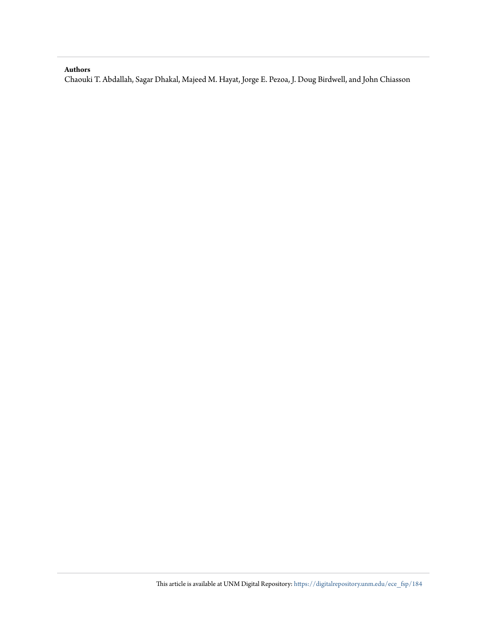# **Authors**

Chaouki T. Abdallah, Sagar Dhakal, Majeed M. Hayat, Jorge E. Pezoa, J. Doug Birdwell, and John Chiasson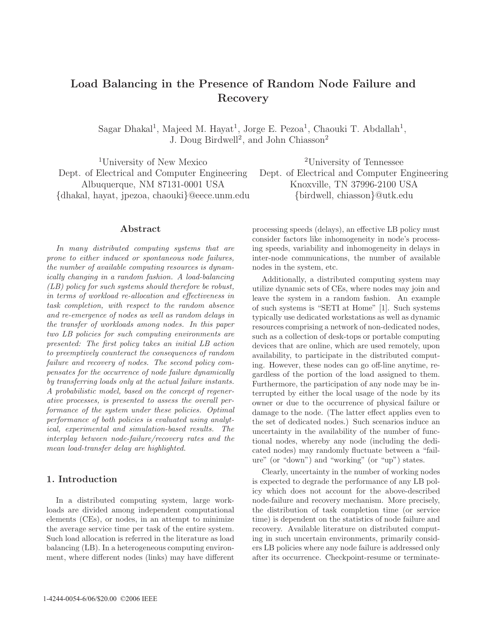# **Load Balancing in the Presence of Random Node Failure and Recovery**

Sagar Dhakal<sup>1</sup>, Majeed M. Hayat<sup>1</sup>, Jorge E. Pezoa<sup>1</sup>, Chaouki T. Abdallah<sup>1</sup>, J. Doug Birdwell<sup>2</sup>, and John Chiasson<sup>2</sup>

Dept. of Electrical and Computer Engineering Dept. of Electrical and Computer Engineering Albuquerque, NM 87131-0001 USA Knoxville, TN 37996-2100 USA {dhakal, hayat, jpezoa, chaouki}@eece.unm.edu {birdwell, chiasson}@utk.edu

#### **Abstract**

In many distributed computing systems that are prone to either induced or spontaneous node failures, the number of available computing resources is dynamically changing in a random fashion. A load-balancing (LB) policy for such systems should therefore be robust, in terms of workload re-allocation and effectiveness in task completion, with respect to the random absence and re-emergence of nodes as well as random delays in the transfer of workloads among nodes. In this paper two LB policies for such computing environments are presented: The first policy takes an initial LB action to preemptively counteract the consequences of random failure and recovery of nodes. The second policy compensates for the occurrence of node failure dynamically by transferring loads only at the actual failure instants. A probabilistic model, based on the concept of regenerative processes, is presented to assess the overall performance of the system under these policies. Optimal performance of both policies is evaluated using analytical, experimental and simulation-based results. The interplay between node-failure/recovery rates and the mean load-transfer delay are highlighted.

### **1. Introduction**

In a distributed computing system, large workloads are divided among independent computational elements (CEs), or nodes, in an attempt to minimize the average service time per task of the entire system. Such load allocation is referred in the literature as load balancing (LB). In a heterogeneous computing environment, where different nodes (links) may have different

<sup>1</sup>University of New Mexico <sup>2</sup>University of Tennessee

processing speeds (delays), an effective LB policy must consider factors like inhomogeneity in node's processing speeds, variability and inhomogeneity in delays in inter-node communications, the number of available nodes in the system, etc.

Additionally, a distributed computing system may utilize dynamic sets of CEs, where nodes may join and leave the system in a random fashion. An example of such systems is "SETI at Home" [1]. Such systems typically use dedicated workstations as well as dynamic resources comprising a network of non-dedicated nodes, such as a collection of desk-tops or portable computing devices that are online, which are used remotely, upon availability, to participate in the distributed computing. However, these nodes can go off-line anytime, regardless of the portion of the load assigned to them. Furthermore, the participation of any node may be interrupted by either the local usage of the node by its owner or due to the occurrence of physical failure or damage to the node. (The latter effect applies even to the set of dedicated nodes.) Such scenarios induce an uncertainty in the availability of the number of functional nodes, whereby any node (including the dedicated nodes) may randomly fluctuate between a "failure" (or "down") and "working" (or "up") states.

Clearly, uncertainty in the number of working nodes is expected to degrade the performance of any LB policy which does not account for the above-described node-failure and recovery mechanism. More precisely, the distribution of task completion time (or service time) is dependent on the statistics of node failure and recovery. Available literature on distributed computing in such uncertain environments, primarily considers LB policies where any node failure is addressed only after its occurrence. Checkpoint-resume or terminate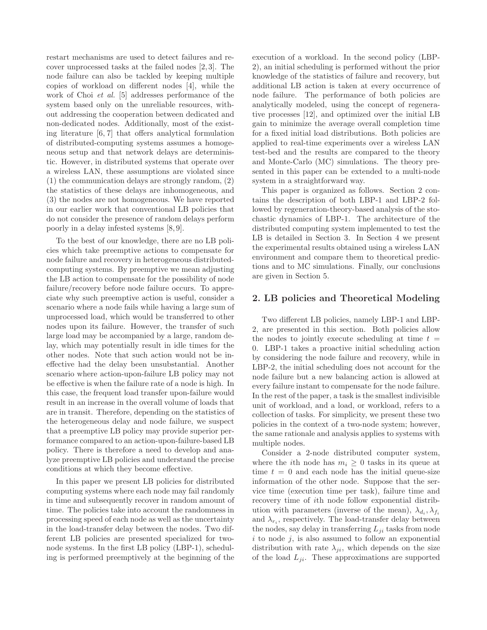restart mechanisms are used to detect failures and recover unprocessed tasks at the failed nodes [2, 3]. The node failure can also be tackled by keeping multiple copies of workload on different nodes [4], while the work of Choi et al. [5] addresses performance of the system based only on the unreliable resources, without addressing the cooperation between dedicated and non-dedicated nodes. Additionally, most of the existing literature [6, 7] that offers analytical formulation of distributed-computing systems assumes a homogeneous setup and that network delays are deterministic. However, in distributed systems that operate over a wireless LAN, these assumptions are violated since (1) the communication delays are strongly random, (2) the statistics of these delays are inhomogeneous, and (3) the nodes are not homogeneous. We have reported in our earlier work that conventional LB policies that do not consider the presence of random delays perform poorly in a delay infested systems [8, 9].

To the best of our knowledge, there are no LB policies which take preemptive actions to compensate for node failure and recovery in heterogeneous distributedcomputing systems. By preemptive we mean adjusting the LB action to compensate for the possibility of node failure/recovery before node failure occurs. To appreciate why such preemptive action is useful, consider a scenario where a node fails while having a large sum of unprocessed load, which would be transferred to other nodes upon its failure. However, the transfer of such large load may be accompanied by a large, random delay, which may potentially result in idle times for the other nodes. Note that such action would not be ineffective had the delay been unsubstantial. Another scenario where action-upon-failure LB policy may not be effective is when the failure rate of a node is high. In this case, the frequent load transfer upon-failure would result in an increase in the overall volume of loads that are in transit. Therefore, depending on the statistics of the heterogeneous delay and node failure, we suspect that a preemptive LB policy may provide superior performance compared to an action-upon-failure-based LB policy. There is therefore a need to develop and analyze preemptive LB policies and understand the precise conditions at which they become effective.

In this paper we present LB policies for distributed computing systems where each node may fail randomly in time and subsequently recover in random amount of time. The policies take into account the randomness in processing speed of each node as well as the uncertainty in the load-transfer delay between the nodes. Two different LB policies are presented specialized for twonode systems. In the first LB policy (LBP-1), scheduling is performed preemptively at the beginning of the

execution of a workload. In the second policy (LBP-2), an initial scheduling is performed without the prior knowledge of the statistics of failure and recovery, but additional LB action is taken at every occurrence of node failure. The performance of both policies are analytically modeled, using the concept of regenerative processes [12], and optimized over the initial LB gain to minimize the average overall completion time for a fixed initial load distributions. Both policies are applied to real-time experiments over a wireless LAN test-bed and the results are compared to the theory and Monte-Carlo (MC) simulations. The theory presented in this paper can be extended to a multi-node system in a straightforward way.

This paper is organized as follows. Section 2 contains the description of both LBP-1 and LBP-2 followed by regeneration-theory-based analysis of the stochastic dynamics of LBP-1. The architecture of the distributed computing system implemented to test the LB is detailed in Section 3. In Section 4 we present the experimental results obtained using a wireless LAN environment and compare them to theoretical predictions and to MC simulations. Finally, our conclusions are given in Section 5.

# **2. LB policies and Theoretical Modeling**

Two different LB policies, namely LBP-1 and LBP-2, are presented in this section. Both policies allow the nodes to jointly execute scheduling at time  $t =$ 0. LBP-1 takes a proactive initial scheduling action by considering the node failure and recovery, while in LBP-2, the initial scheduling does not account for the node failure but a new balancing action is allowed at every failure instant to compensate for the node failure. In the rest of the paper, a task is the smallest indivisible unit of workload, and a load, or workload, refers to a collection of tasks. For simplicity, we present these two policies in the context of a two-node system; however, the same rationale and analysis applies to systems with multiple nodes.

Consider a 2-node distributed computer system, where the *i*th node has  $m_i \geq 0$  tasks in its queue at time  $t = 0$  and each node has the initial queue-size information of the other node. Suppose that the service time (execution time per task), failure time and recovery time of ith node follow exponential distribution with parameters (inverse of the mean),  $\lambda_{d_i}, \lambda_{f_i}$ and  $\lambda_{r_i}$ , respectively. The load-transfer delay between the nodes, say delay in transferring  $L_{ji}$  tasks from node  $i$  to node  $j$ , is also assumed to follow an exponential distribution with rate  $\lambda_{ii}$ , which depends on the size of the load  $L_{ji}$ . These approximations are supported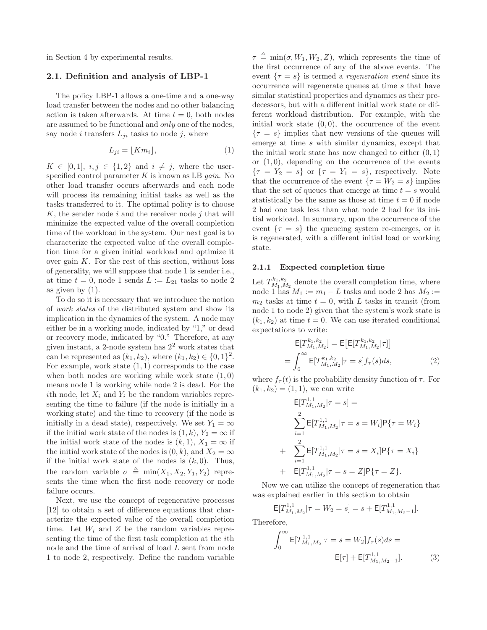in Section 4 by experimental results.

#### **2.1. Definition and analysis of LBP-1**

The policy LBP-1 allows a one-time and a one-way load transfer between the nodes and no other balancing action is taken afterwards. At time  $t = 0$ , both nodes are assumed to be functional and only one of the nodes, say node *i* transfers  $L_{ji}$  tasks to node *j*, where

$$
L_{ji} = \lfloor Km_i\rfloor,\tag{1}
$$

 $K \in [0,1], i, j \in \{1,2\}$  and  $i \neq j$ , where the userspecified control parameter  $K$  is known as LB gain. No other load transfer occurs afterwards and each node will process its remaining initial tasks as well as the tasks transferred to it. The optimal policy is to choose  $K$ , the sender node i and the receiver node j that will minimize the expected value of the overall completion time of the workload in the system. Our next goal is to characterize the expected value of the overall completion time for a given initial workload and optimize it over gain  $K$ . For the rest of this section, without loss of generality, we will suppose that node 1 is sender i.e., at time  $t = 0$ , node 1 sends  $L := L_{21}$  tasks to node 2 as given by  $(1)$ .

To do so it is necessary that we introduce the notion of work states of the distributed system and show its implication in the dynamics of the system. A node may either be in a working mode, indicated by "1," or dead or recovery mode, indicated by "0." Therefore, at any given instant, a 2-node system has  $2<sup>2</sup>$  work states that can be represented as  $(k_1, k_2)$ , where  $(k_1, k_2) \in \{0, 1\}^2$ . For example, work state  $(1, 1)$  corresponds to the case when both nodes are working while work state  $(1, 0)$ means node 1 is working while node 2 is dead. For the ith node, let  $X_i$  and  $Y_i$  be the random variables representing the time to failure (if the node is initially in a working state) and the time to recovery (if the node is initially in a dead state), respectively. We set  $Y_1 = \infty$ if the initial work state of the nodes is  $(1, k)$ ,  $Y_2 = \infty$  if the initial work state of the nodes is  $(k, 1)$ ,  $X_1 = \infty$  if the initial work state of the nodes is  $(0, k)$ , and  $X_2 = \infty$ if the initial work state of the nodes is  $(k, 0)$ . Thus, the random variable  $\sigma \triangleq \min(X_1, X_2, Y_1, Y_2)$  represents the time when the first node recovery or node failure occurs.

Next, we use the concept of regenerative processes [12] to obtain a set of difference equations that characterize the expected value of the overall completion time. Let  $W_i$  and  $Z$  be the random variables representing the time of the first task completion at the ith node and the time of arrival of load L sent from node 1 to node 2, respectively. Define the random variable

 $\tau \triangleq \min(\sigma, W_1, W_2, Z)$ , which represents the time of the first occurrence of any of the above events. The event  $\{\tau = s\}$  is termed a *regeneration event* since its occurrence will regenerate queues at time s that have similar statistical properties and dynamics as their predecessors, but with a different initial work state or different workload distribution. For example, with the initial work state  $(0, 0)$ , the occurrence of the event  $\{\tau = s\}$  implies that new versions of the queues will emerge at time s with similar dynamics, except that the initial work state has now changed to either  $(0, 1)$ or  $(1, 0)$ , depending on the occurrence of the events  $\{\tau = Y_2 = s\}$  or  $\{\tau = Y_1 = s\}$ , respectively. Note that the occurrence of the event  $\{\tau = W_2 = s\}$  implies that the set of queues that emerge at time  $t = s$  would statistically be the same as those at time  $t = 0$  if node 2 had one task less than what node 2 had for its initial workload. In summary, upon the occurrence of the event  $\{\tau = s\}$  the queueing system re-emerges, or it is regenerated, with a different initial load or working state.

#### **2.1.1 Expected completion time**

Let  $T_{M_1,M_2}^{k_1,k_2}$  denote the overall completion time, where node 1 has  $M_1 := m_1 - L$  tasks and node 2 has  $M_2 :=$  $m_2$  tasks at time  $t = 0$ , with L tasks in transit (from node 1 to node 2) given that the system's work state is  $(k_1, k_2)$  at time  $t = 0$ . We can use iterated conditional expectations to write:

$$
E[T_{M_1,M_2}^{k_1,k_2}] = E[E[T_{M_1,M_2}^{k_1,k_2}|\tau]]
$$
  
= 
$$
\int_0^\infty E[T_{M_1,M_2}^{k_1,k_2}|\tau = s]f_\tau(s)ds,
$$
 (2)

where  $f_{\tau}(t)$  is the probability density function of  $\tau$ . For  $(k_1, k_2) = (1, 1)$ , we can write

$$
\begin{aligned} \mathsf{E}[T^{1,1}_{M_1,M_2}|\tau=s] &= \\ \sum_{i=1}^2 \mathsf{E}[T^{1,1}_{M_1,M_2}|\tau=s=W_i]\mathsf{P}\{\tau=W_i\} \\ &+ \sum_{i=1}^2 \mathsf{E}[T^{1,1}_{M_1,M_2}|\tau=s=X_i]\mathsf{P}\{\tau=X_i\} \\ &+ \mathsf{E}[T^{1,1}_{M_1,M_2}|\tau=s=Z]\mathsf{P}\{\tau=Z\}. \end{aligned}
$$

Now we can utilize the concept of regeneration that was explained earlier in this section to obtain

$$
\mathsf{E}[T^{1,1}_{M_1,M_2}|\tau = W_2 = s] = s + \mathsf{E}[T^{1,1}_{M_1,M_2-1}].
$$

Therefore,

$$
\int_0^\infty \mathsf{E}[T_{M_1,M_2}^{1,1}| \tau = s = W_2] f_\tau(s) ds =
$$
  

$$
\mathsf{E}[\tau] + \mathsf{E}[T_{M_1,M_2-1}^{1,1}].
$$
 (3)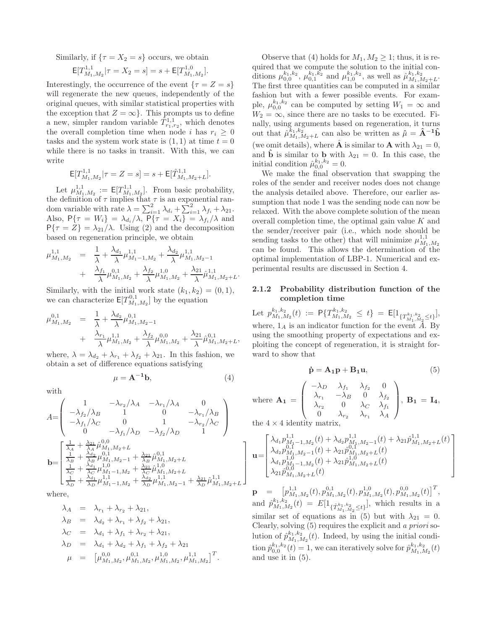Similarly, if  $\{\tau = X_2 = s\}$  occurs, we obtain

$$
\mathsf{E}[T^{1,1}_{M_1,M_2}|\tau=X_2=s]=s+\mathsf{E}[T^{1,0}_{M_1,M_2}].
$$

Interestingly, the occurrence of the event  $\{\tau = Z = s\}$ will regenerate the new queues, independently of the original queues, with similar statistical properties with the exception that  $Z = \infty$ . This prompts us to define a new, simpler random variable  $\hat{T}_{r_1,r_2}^{1,1}$ , which denotes the overall completion time when node i has  $r_i \geq 0$ tasks and the system work state is  $(1, 1)$  at time  $t = 0$ while there is no tasks in transit. With this, we can write

$$
\mathsf{E}[T^{1,1}_{M_1,M_2}|\tau = Z = s] = s + \mathsf{E}[\hat{T}^{1,1}_{M_1,M_2+L}].
$$

Let  $\mu_{M_1,M_2}^{1,1} := \mathsf{E}[T_{M_1,M_2}^{1,1}]$ . From basic probability, the definition of  $\tau$  implies that  $\tau$  is an exponential random variable with rate  $\lambda = \sum_{i=1}^{2} \lambda_{d_i} + \sum_{i=1}^{2} \lambda_{f_i} + \lambda_{21}$ . Also,  $P\{\tau = W_i\} = \lambda_{d_i}/\lambda$ ,  $P\{\tau = X_i\} = \lambda_{f_i}/\lambda$  and  $P\{\tau = \tilde{Z}\} = \lambda_{21}/\lambda$ . Using (2) and the decomposition based on regeneration principle, we obtain

$$
\mu_{M_1,M_2}^{1,1} = \frac{1}{\lambda} + \frac{\lambda_{d_1}}{\lambda} \mu_{M_1-1,M_2}^{1,1} + \frac{\lambda_{d_2}}{\lambda} \mu_{M_1,M_2-1}^{1,1} \n+ \frac{\lambda_{f_1}}{\lambda} \mu_{M_1,M_2}^{0,1} + \frac{\lambda_{f_2}}{\lambda} \mu_{M_1,M_2}^{1,0} + \frac{\lambda_{21}}{\lambda} \hat{\mu}_{M_1,M_2+L}^{1,1}.
$$

Similarly, with the initial work state  $(k_1, k_2) = (0, 1)$ , we can characterize  $\mathsf{E}[T^{0,1}_{M_1,M_2}]$  by the equation

$$
\mu_{M_1, M_2}^{0,1} = \frac{1}{\lambda} + \frac{\lambda_{d_2}}{\lambda} \mu_{M_1, M_2 - 1}^{0,1} + \frac{\lambda_{r_1}}{\lambda} \mu_{M_1, M_2}^{1,1} + \frac{\lambda_{f_2}}{\lambda} \mu_{M_1, M_2}^{0,0} + \frac{\lambda_{21}}{\lambda} \hat{\mu}_{M_1, M_2 + L}^{0,1},
$$

where,  $\lambda = \lambda_{d_2} + \lambda_{r_1} + \lambda_{f_2} + \lambda_{21}$ . In this fashion, we obtain a set of difference equations satisfying

$$
\mu = \mathbf{A}^{-1} \mathbf{b},\tag{4}
$$

with

$$
A = \begin{pmatrix} 1 & -\lambda_{r_2}/\lambda_A & -\lambda_{r_1}/\lambda_A & 0 \\ -\lambda_{f_2}/\lambda_B & 1 & 0 & -\lambda_{r_1}/\lambda_B \\ -\lambda_{f_1}/\lambda_C & 0 & 1 & -\lambda_{r_2}/\lambda_C \\ 0 & -\lambda_{f_1}/\lambda_D & -\lambda_{f_2}/\lambda_D & 1 \end{pmatrix}
$$
  

$$
\mathbf{b} = \begin{bmatrix} \frac{1}{\lambda_A} + \frac{\lambda_{21}}{\lambda_A} \hat{\mu}_{M_1, M_2+L}^{0,0} & \lambda_{M_1, M_2+L} \\ \frac{1}{\lambda_B} + \frac{\lambda_{d_2}}{\lambda_B} \mu_{M_1, M_2-1}^{0,1} + \frac{\lambda_{21}}{\lambda_B} \hat{\mu}_{M_1, M_2+L}^{0,1} & \lambda_C \\ \frac{1}{\lambda_C} + \frac{\lambda_{d_1}}{\lambda_C} \mu_{M_1-1, M_2}^{1,0} + \frac{\lambda_{21}}{\lambda_C} \hat{\mu}_{M_1, M_2+L}^{1,0} & \lambda_{M_1, M_2+L}^{1,1} \\ \frac{1}{\lambda_D} + \frac{\lambda_{d_1}}{\lambda_D} \mu_{M_1-1, M_2}^{1,1} + \frac{\lambda_{d_2}}{\lambda_D} \mu_{M_1, M_2-1}^{1,1} + \frac{\lambda_{21}}{\lambda_D} \hat{\mu}_{M_1, M_2+L}^{1,1} \end{pmatrix}
$$

where,

$$
\lambda_A = \lambda_{r_1} + \lambda_{r_2} + \lambda_{21},
$$
  
\n
$$
\lambda_B = \lambda_{d_2} + \lambda_{r_1} + \lambda_{f_2} + \lambda_{21},
$$
  
\n
$$
\lambda_C = \lambda_{d_1} + \lambda_{f_1} + \lambda_{r_2} + \lambda_{21},
$$
  
\n
$$
\lambda_D = \lambda_{d_1} + \lambda_{d_2} + \lambda_{f_1} + \lambda_{f_2} + \lambda_{21},
$$
  
\n
$$
\mu = \left[ \mu_{M_1, M_2}^{0,0}, \mu_{M_1, M_2}^{0,1}, \mu_{M_1, M_2}^{1,0}, \mu_{M_1, M_2}^{1,1} \right]^T.
$$

Observe that (4) holds for  $M_1, M_2 \geq 1$ ; thus, it is required that we compute the solution to the initial conditions  $\mu_{0,0}^{k_1,k_2}$ ,  $\mu_{0,1}^{k_1,k_2}$  and  $\mu_{1,0}^{k_1,k_2}$ , as well as  $\hat{\mu}_{M_1,M_2+L}^{k_1,k_2}$ . The first three quantities can be computed in a similar fashion but with a fewer possible events. For example,  $\mu_{0,0}^{k_1,k_2}$  can be computed by setting  $W_1 = \infty$  and  $W_2 = \infty$ , since there are no tasks to be executed. Finally, using arguments based on regeneration, it turns out that  $\hat{\mu}_{M_1,M_2+L}^{k_1,k_2}$  can also be written as  $\hat{\mu} = \hat{\mathbf{A}}^{-1}\hat{\mathbf{b}}$ (we omit details), where  $\hat{\mathbf{A}}$  is similar to  $\mathbf{A}$  with  $\lambda_{21} = 0$ , and  $\hat{\mathbf{b}}$  is similar to **b** with  $\lambda_{21} = 0$ . In this case, the initial condition  $\hat{\mu}_{0,0}^{k_1,k_2} = 0$ .

We make the final observation that swapping the roles of the sender and receiver nodes does not change the analysis detailed above. Therefore, our earlier assumption that node 1 was the sending node can now be relaxed. With the above complete solution of the mean overall completion time, the optimal gain value K and the sender/receiver pair (i.e., which node should be sending tasks to the other) that will minimize  $\mu_{M_1,M_2}^{1,1}$ can be found. This allows the determination of the optimal implementation of LBP-1. Numerical and experimental results are discussed in Section 4.

#### **2.1.2 Probability distribution function of the completion time**

Let  $p_{M_1,M_2}^{k_1,k_2}(t) := \mathsf{P}\{T_{M_1,M_2}^{k_1,k_2} \leq t\} = \mathsf{E}[1_{\{T_{M_1,M_2}^{k_1,k_2} \leq t\}}],$ where,  $1_A$  is an indicator function for the event  $\tilde{A}$ . By using the smoothing property of expectations and exploiting the concept of regeneration, it is straight forward to show that

$$
\dot{\mathbf{p}} = \mathbf{A}_1 \mathbf{p} + \mathbf{B}_1 \mathbf{u},\tag{5}
$$

where 
$$
\mathbf{A_1} = \begin{pmatrix} -\lambda_D & \lambda_{f_1} & \lambda_{f_2} & 0 \\ \lambda_{r_1} & -\lambda_B & 0 & \lambda_{f_2} \\ \lambda_{r_2} & 0 & \lambda_C & \lambda_{f_1} \\ 0 & \lambda_{r_2} & \lambda_{r_1} & \lambda_A \end{pmatrix}
$$
,  $\mathbf{B_1} = \mathbf{I_4}$ ,  
the 4 × 4 identity matrix

the  $4 \times 4$  identity matrix.

⎤  $\overline{a}$  $\overline{a}$  $\overline{a}$  $\frac{1}{2}$ 

$$
\mathbf{u} = \begin{bmatrix} \lambda_{d_1} p_{M_1-1,M_2}^{1,1}(t) + \lambda_{d_2} p_{M_1,M_2-1}^{1,1}(t) + \lambda_{21} \hat{p}_{M_1,M_2+L}^{1,1}(t) \\ \lambda_{d_2} p_{M_1,M_2-1}^{0,1}(t) + \lambda_{21} \hat{p}_{M_1,M_2+L}^{0,1}(t) \\ \lambda_{d_1} p_{M_1-1,M_2}^{1,0}(t) + \lambda_{21} \hat{p}_{M_1,M_2+L}^{1,0}(t) \\ \lambda_{21} \hat{p}_{M_1,M_2+L}^{0,0}(t) \end{bmatrix}
$$

 $\mathbf{p} = \left[ p_{M_1,M_2}^{1,1}(t), p_{M_1,M_2}^{0,1}(t), p_{M_1,M_2}^{1,0}(t), p_{M_1,M_2}^{0,0}(t) \right]^T$ and  $\hat{p}_{M_1,M_2}^{k_1,k_2}(t) = E[1_{\{\hat{T}_{M_1,M_2}^{k_1,k_2}\leq t\}}],$  which results in a similar set of equations as in (5) but with  $\lambda_{21} = 0$ . Clearly, solving (5) requires the explicit and a priori solution of  $\hat{p}_{M_1,M_2}^{k_1,k_2}(t)$ . Indeed, by using the initial condition  $\hat{p}_{0,0}^{k_1,k_2}(t) = 1$ , we can iteratively solve for  $\hat{p}_{M_1,M_2}^{k_1,k_2}(t)$ and use it in (5).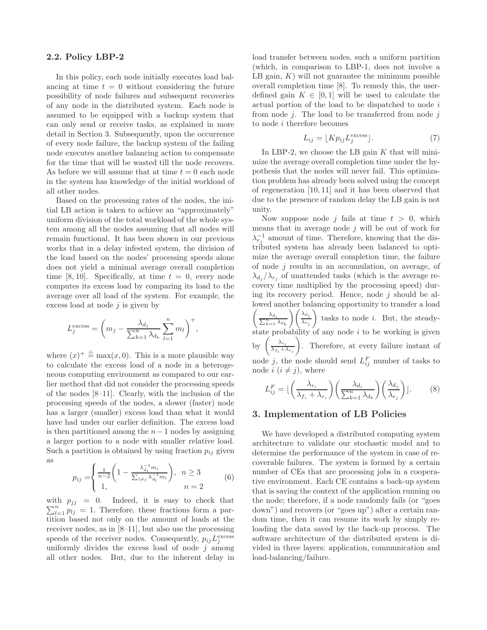# **2.2. Policy LBP-2**

In this policy, each node initially executes load balancing at time  $t = 0$  without considering the future possibility of node failures and subsequent recoveries of any node in the distributed system. Each node is assumed to be equipped with a backup system that can only send or receive tasks, as explained in more detail in Section 3. Subsequently, upon the occurrence of every node failure, the backup system of the failing node executes another balancing action to compensate for the time that will be wasted till the node recovers. As before we will assume that at time  $t = 0$  each node in the system has knowledge of the initial workload of all other nodes.

Based on the processing rates of the nodes, the initial LB action is taken to achieve an "approximately" uniform division of the total workload of the whole system among all the nodes assuming that all nodes will remain functional. It has been shown in our previous works that in a delay infested system, the division of the load based on the nodes' processing speeds alone does not yield a minimal average overall completion time [8, 10]. Specifically, at time  $t = 0$ , every node computes its excess load by comparing its load to the average over all load of the system. For example, the excess load at node  $j$  is given by

$$
L_j^{\text{excess}} = \left(m_j - \frac{\lambda_{d_j}}{\sum_{k=1}^n \lambda_{d_k}} \sum_{l=1}^n m_l\right)^+,
$$

where  $(x)^{+} \triangleq \max(x, 0)$ . This is a more plausible way to calculate the excess load of a node in a heterogeneous computing environment as compared to our earlier method that did not consider the processing speeds of the nodes [8–11]. Clearly, with the inclusion of the processing speeds of the nodes, a slower (faster) node has a larger (smaller) excess load than what it would have had under our earlier definition. The excess load is then partitioned among the  $n-1$  nodes by assigning a larger portion to a node with smaller relative load. Such a partition is obtained by using fraction  $p_{ij}$  given as

$$
p_{ij} = \begin{cases} \frac{1}{n-2} \left( 1 - \frac{\lambda_{d_i}^{-1} m_i}{\sum_{l \neq j} \lambda_{d_l}^{-1} m_l} \right), & n \ge 3\\ 1, & n = 2 \end{cases}
$$
(6)

 $\sum_{l=1}^{n} p_{lj} = 1$ . Therefore, these fractions form a parwith  $p_{jj} = 0$ . Indeed, it is easy to check that tition based not only on the amount of loads at the receiver nodes, as in [8–11], but also use the processing speeds of the receiver nodes. Consequently,  $p_{ij}L_i^{\text{excess}}$ uniformly divides the excess load of node  $i$  among all other nodes. But, due to the inherent delay in load transfer between nodes, such a uniform partition (which, in comparison to LBP-1, does not involve a LB gain,  $K$ ) will not guarantee the minimum possible overall completion time [8]. To remedy this, the userdefined gain  $K \in [0,1]$  will be used to calculate the actual portion of the load to be dispatched to node i from node  $j$ . The load to be transferred from node  $j$ to node i therefore becomes

$$
L_{ij} = \lfloor K p_{ij} L_j^{\text{excess}} \rfloor. \tag{7}
$$

In LBP-2, we choose the LB gain  $K$  that will minimize the average overall completion time under the hypothesis that the nodes will never fail. This optimization problem has already been solved using the concept of regeneration [10, 11] and it has been observed that due to the presence of random delay the LB gain is not unity.

Now suppose node j fails at time  $t > 0$ , which means that in average node  $j$  will be out of work for  $\lambda_{r_i}^{-1}$  amount of time. Therefore, knowing that the distributed system has already been balanced to optimize the average overall completion time, the failure of node j results in an accumulation, on average, of  $\lambda_{d_i}/\lambda_{r_i}$  of unattended tasks (which is the average recovery time multiplied by the processing speed) during its recovery period. Hence, node  $j$  should be allowed another balancing opportunity to transfer a load  $\left(\frac{\lambda_{d_i}}{\sum_{k=1}^n \lambda_{d_k}}\right)\left(\frac{\lambda_{d_k}}{\lambda_{d_k}}\right)$  $\bigwedge_{d_i} \lambda_{d_i}$  $\overline{\lambda_{r_i}}$ ) tasks to node *i*. But, the steadystate probability of any node i to be working is given by  $\left(\frac{\lambda_{r_i}}{\lambda_{f_i} + \lambda_{r_i}}\right)$ . Therefore, at every failure instant of

node *j*, the node should send 
$$
L_{ij}^F
$$
 number of tasks to node *i*  $(i \neq j)$ , where

$$
L_{ij}^F = \lfloor \left( \frac{\lambda_{r_i}}{\lambda_{f_i} + \lambda_{r_i}} \right) \left( \frac{\lambda_{d_i}}{\sum_{k=1}^n \lambda_{d_k}} \right) \left( \frac{\lambda_{d_j}}{\lambda_{r_j}} \right) \rfloor. \tag{8}
$$

# **3. Implementation of LB Policies**

We have developed a distributed computing system architecture to validate our stochastic model and to determine the performance of the system in case of recoverable failures. The system is formed by a certain number of CEs that are processing jobs in a cooperative environment. Each CE contains a back-up system that is saving the context of the application running on the node; therefore, if a node randomly fails (or "goes down") and recovers (or "goes up") after a certain random time, then it can resume its work by simply reloading the data saved by the back-up process. The software architecture of the distributed system is divided in three layers: application, communication and load-balancing/failure.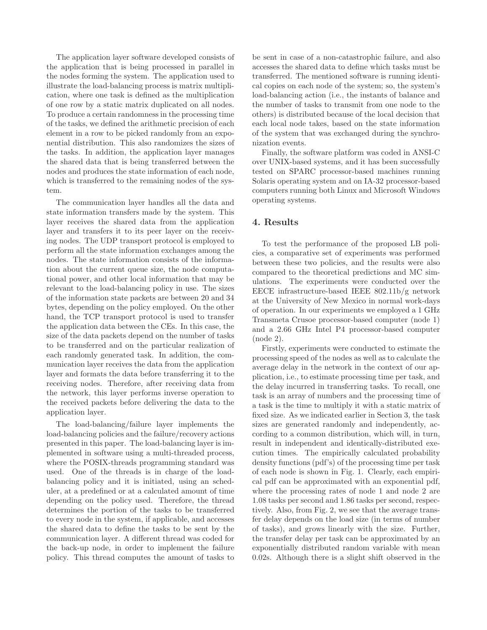The application layer software developed consists of the application that is being processed in parallel in the nodes forming the system. The application used to illustrate the load-balancing process is matrix multiplication, where one task is defined as the multiplication of one row by a static matrix duplicated on all nodes. To produce a certain randomness in the processing time of the tasks, we defined the arithmetic precision of each element in a row to be picked randomly from an exponential distribution. This also randomizes the sizes of the tasks. In addition, the application layer manages the shared data that is being transferred between the nodes and produces the state information of each node, which is transferred to the remaining nodes of the system.

The communication layer handles all the data and state information transfers made by the system. This layer receives the shared data from the application layer and transfers it to its peer layer on the receiving nodes. The UDP transport protocol is employed to perform all the state information exchanges among the nodes. The state information consists of the information about the current queue size, the node computational power, and other local information that may be relevant to the load-balancing policy in use. The sizes of the information state packets are between 20 and 34 bytes, depending on the policy employed. On the other hand, the TCP transport protocol is used to transfer the application data between the CEs. In this case, the size of the data packets depend on the number of tasks to be transferred and on the particular realization of each randomly generated task. In addition, the communication layer receives the data from the application layer and formats the data before transferring it to the receiving nodes. Therefore, after receiving data from the network, this layer performs inverse operation to the received packets before delivering the data to the application layer.

The load-balancing/failure layer implements the load-balancing policies and the failure/recovery actions presented in this paper. The load-balancing layer is implemented in software using a multi-threaded process, where the POSIX-threads programming standard was used. One of the threads is in charge of the loadbalancing policy and it is initiated, using an scheduler, at a predefined or at a calculated amount of time depending on the policy used. Therefore, the thread determines the portion of the tasks to be transferred to every node in the system, if applicable, and accesses the shared data to define the tasks to be sent by the communication layer. A different thread was coded for the back-up node, in order to implement the failure policy. This thread computes the amount of tasks to

be sent in case of a non-catastrophic failure, and also accesses the shared data to define which tasks must be transferred. The mentioned software is running identical copies on each node of the system; so, the system's load-balancing action (i.e., the instants of balance and the number of tasks to transmit from one node to the others) is distributed because of the local decision that each local node takes, based on the state information of the system that was exchanged during the synchronization events.

Finally, the software platform was coded in ANSI-C over UNIX-based systems, and it has been successfully tested on SPARC processor-based machines running Solaris operating system and on IA-32 processor-based computers running both Linux and Microsoft Windows operating systems.

# **4. Results**

To test the performance of the proposed LB policies, a comparative set of experiments was performed between these two policies, and the results were also compared to the theoretical predictions and MC simulations. The experiments were conducted over the EECE infrastructure-based IEEE 802.11b/g network at the University of New Mexico in normal work-days of operation. In our experiments we employed a 1 GHz Transmeta Crusoe processor-based computer (node 1) and a 2.66 GHz Intel P4 processor-based computer (node 2).

Firstly, experiments were conducted to estimate the processing speed of the nodes as well as to calculate the average delay in the network in the context of our application, i.e., to estimate processing time per task, and the delay incurred in transferring tasks. To recall, one task is an array of numbers and the processing time of a task is the time to multiply it with a static matrix of fixed size. As we indicated earlier in Section 3, the task sizes are generated randomly and independently, according to a common distribution, which will, in turn, result in independent and identically-distributed execution times. The empirically calculated probability density functions (pdf's) of the processing time per task of each node is shown in Fig. 1. Clearly, each empirical pdf can be approximated with an exponential pdf, where the processing rates of node 1 and node 2 are 1.08 tasks per second and 1.86 tasks per second, respectively. Also, from Fig. 2, we see that the average transfer delay depends on the load size (in terms of number of tasks), and grows linearly with the size. Further, the transfer delay per task can be approximated by an exponentially distributed random variable with mean 0.02s. Although there is a slight shift observed in the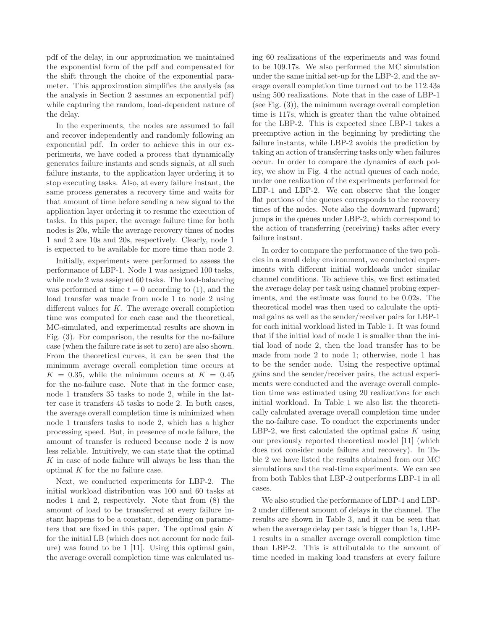pdf of the delay, in our approximation we maintained the exponential form of the pdf and compensated for the shift through the choice of the exponential parameter. This approximation simplifies the analysis (as the analysis in Section 2 assumes an exponential pdf) while capturing the random, load-dependent nature of the delay.

In the experiments, the nodes are assumed to fail and recover independently and randomly following an exponential pdf. In order to achieve this in our experiments, we have coded a process that dynamically generates failure instants and sends signals, at all such failure instants, to the application layer ordering it to stop executing tasks. Also, at every failure instant, the same process generates a recovery time and waits for that amount of time before sending a new signal to the application layer ordering it to resume the execution of tasks. In this paper, the average failure time for both nodes is 20s, while the average recovery times of nodes 1 and 2 are 10s and 20s, respectively. Clearly, node 1 is expected to be available for more time than node 2.

Initially, experiments were performed to assess the performance of LBP-1. Node 1 was assigned 100 tasks, while node 2 was assigned 60 tasks. The load-balancing was performed at time  $t = 0$  according to (1), and the load transfer was made from node 1 to node 2 using different values for K. The average overall completion time was computed for each case and the theoretical, MC-simulated, and experimental results are shown in Fig. (3). For comparison, the results for the no-failure case (when the failure rate is set to zero) are also shown. From the theoretical curves, it can be seen that the minimum average overall completion time occurs at  $K = 0.35$ , while the minimum occurs at  $K = 0.45$ for the no-failure case. Note that in the former case, node 1 transfers 35 tasks to node 2, while in the latter case it transfers 45 tasks to node 2. In both cases, the average overall completion time is minimized when node 1 transfers tasks to node 2, which has a higher processing speed. But, in presence of node failure, the amount of transfer is reduced because node 2 is now less reliable. Intuitively, we can state that the optimal  $K$  in case of node failure will always be less than the optimal  $K$  for the no failure case.

Next, we conducted experiments for LBP-2. The initial workload distribution was 100 and 60 tasks at nodes 1 and 2, respectively. Note that from (8) the amount of load to be transferred at every failure instant happens to be a constant, depending on parameters that are fixed in this paper. The optimal gain  $K$ for the initial LB (which does not account for node failure) was found to be 1 [11]. Using this optimal gain, the average overall completion time was calculated us-

ing 60 realizations of the experiments and was found to be 109.17s. We also performed the MC simulation under the same initial set-up for the LBP-2, and the average overall completion time turned out to be 112.43s using 500 realizations. Note that in the case of LBP-1 (see Fig. (3)), the minimum average overall completion time is 117s, which is greater than the value obtained for the LBP-2. This is expected since LBP-1 takes a preemptive action in the beginning by predicting the failure instants, while LBP-2 avoids the prediction by taking an action of transferring tasks only when failures occur. In order to compare the dynamics of each policy, we show in Fig. 4 the actual queues of each node, under one realization of the experiments performed for LBP-1 and LBP-2. We can observe that the longer flat portions of the queues corresponds to the recovery times of the nodes. Note also the downward (upward) jumps in the queues under LBP-2, which correspond to the action of transferring (receiving) tasks after every failure instant.

In order to compare the performance of the two policies in a small delay environment, we conducted experiments with different initial workloads under similar channel conditions. To achieve this, we first estimated the average delay per task using channel probing experiments, and the estimate was found to be 0.02s. The theoretical model was then used to calculate the optimal gains as well as the sender/receiver pairs for LBP-1 for each initial workload listed in Table 1. It was found that if the initial load of node 1 is smaller than the initial load of node 2, then the load transfer has to be made from node 2 to node 1; otherwise, node 1 has to be the sender node. Using the respective optimal gains and the sender/receiver pairs, the actual experiments were conducted and the average overall completion time was estimated using 20 realizations for each initial workload. In Table 1 we also list the theoretically calculated average overall completion time under the no-failure case. To conduct the experiments under LBP-2, we first calculated the optimal gains  $K$  using our previously reported theoretical model [11] (which does not consider node failure and recovery). In Table 2 we have listed the results obtained from our MC simulations and the real-time experiments. We can see from both Tables that LBP-2 outperforms LBP-1 in all cases.

We also studied the performance of LBP-1 and LBP-2 under different amount of delays in the channel. The results are shown in Table 3, and it can be seen that when the average delay per task is bigger than 1s, LBP-1 results in a smaller average overall completion time than LBP-2. This is attributable to the amount of time needed in making load transfers at every failure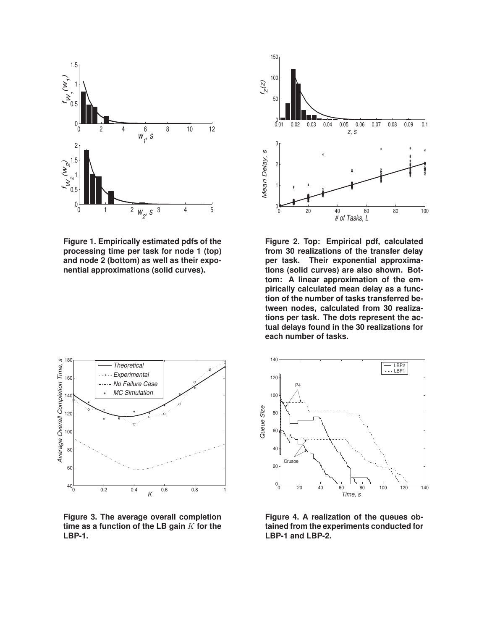

**Figure 1. Empirically estimated pdfs of the processing time per task for node 1 (top) and node 2 (bottom) as well as their exponential approximations (solid curves).**



**Figure 2. Top: Empirical pdf, calculated from 30 realizations of the transfer delay per task. Their exponential approximations (solid curves) are also shown. Bottom: A linear approximation of the empirically calculated mean delay as a function of the number of tasks transferred between nodes, calculated from 30 realizations per task. The dots represent the actual delays found in the 30 realizations for each number of tasks.**



**Figure 3. The average overall completion time as a function of the LB gain** K **for the LBP-1.**



**Figure 4. A realization of the queues obtained from the experiments conducted for LBP-1 and LBP-2.**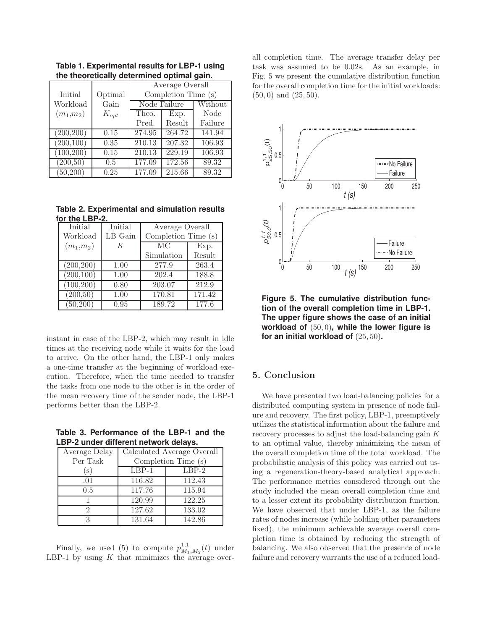|             |           | Average Overall     |        |         |
|-------------|-----------|---------------------|--------|---------|
| Initial     | Optimal   | Completion Time (s) |        |         |
| Workload    | Gain      | Node Failure        |        | Without |
| $(m_1,m_2)$ | $K_{opt}$ | Theo.               | Exp.   | Node    |
|             |           | Pred.               | Result | Failure |
| (200, 200)  | 0.15      | 274.95              | 264.72 | 141.94  |
| (200, 100)  | 0.35      | 210.13              | 207.32 | 106.93  |
| (100, 200)  | 0.15      | 210.13              | 229.19 | 106.93  |
| (200, 50)   | 0.5       | 177.09              | 172.56 | 89.32   |
| (50, 200)   | 0.25      | 177.09              | 215.66 | 89.32   |

**Table 1. Experimental results for LBP-1 using the theoretically determined optimal gain.**

**Table 2. Experimental and simulation results for the LBP-2.**

| ישו<br>$\overline{u}$ is the set of $\overline{u}$ |         |                     |        |  |  |  |
|----------------------------------------------------|---------|---------------------|--------|--|--|--|
| Initial                                            | Initial | Average Overall     |        |  |  |  |
| Workload                                           | LB Gain | Completion Time (s) |        |  |  |  |
| $(m_1,m_2)$                                        | К       | MC                  | Exp.   |  |  |  |
|                                                    |         | Simulation          | Result |  |  |  |
| (200, 200)                                         | 1.00    | 277.9               | 263.4  |  |  |  |
| (200, 100)                                         | 1.00    | 202.4               | 188.8  |  |  |  |
| (100, 200)                                         | 0.80    | 203.07              | 212.9  |  |  |  |
| (200, 50)                                          | 1.00    | 170.81              | 171.42 |  |  |  |
| (50, 200)                                          | 0.95    | 189.72              | 177.6  |  |  |  |
|                                                    |         |                     |        |  |  |  |

instant in case of the LBP-2, which may result in idle times at the receiving node while it waits for the load to arrive. On the other hand, the LBP-1 only makes a one-time transfer at the beginning of workload execution. Therefore, when the time needed to transfer the tasks from one node to the other is in the order of the mean recovery time of the sender node, the LBP-1 performs better than the LBP-2.

**Table 3. Performance of the LBP-1 and the LBP-2 under different network delays.**

| Average Delay  | Calculated Average Overall |         |  |
|----------------|----------------------------|---------|--|
| Per Task       | Completion Time (s)        |         |  |
| $\mathbf{s}$ ) | $LBP-1$                    | $LBP-2$ |  |
| .01            | 116.82                     | 112.43  |  |
| 0.5            | 117.76                     | 115.94  |  |
|                | 120.99                     | 122.25  |  |
|                | 127.62                     | 133.02  |  |
|                | 131.64                     | 142.86  |  |

Finally, we used (5) to compute  $p_{M_1,M_2}^{1,1}(t)$  under LBP-1 by using  $K$  that minimizes the average overall completion time. The average transfer delay per task was assumed to be 0.02s. As an example, in Fig. 5 we present the cumulative distribution function for the overall completion time for the initial workloads:  $(50, 0)$  and  $(25, 50)$ .



**Figure 5. The cumulative distribution function of the overall completion time in LBP-1. The upper figure shows the case of an initial workload of** (50, 0)**, while the lower figure is for an initial workload of** (25, 50)**.**

# **5. Conclusion**

We have presented two load-balancing policies for a distributed computing system in presence of node failure and recovery. The first policy, LBP-1, preemptively utilizes the statistical information about the failure and recovery processes to adjust the load-balancing gain K to an optimal value, thereby minimizing the mean of the overall completion time of the total workload. The probabilistic analysis of this policy was carried out using a regeneration-theory-based analytical approach. The performance metrics considered through out the study included the mean overall completion time and to a lesser extent its probability distribution function. We have observed that under LBP-1, as the failure rates of nodes increase (while holding other parameters fixed), the minimum achievable average overall completion time is obtained by reducing the strength of balancing. We also observed that the presence of node failure and recovery warrants the use of a reduced load